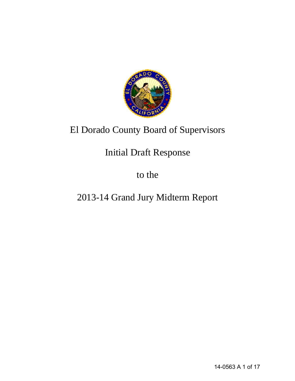

# El Dorado County Board of Supervisors

# Initial Draft Response

to the

# 2013-14 Grand Jury Midterm Report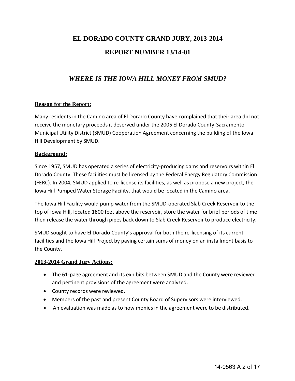## **EL DORADO COUNTY GRAND JURY, 2013-2014 REPORT NUMBER 13/14-01**

## *WHERE IS THE IOWA HILL MONEY FROM SMUD?*

## **Reason for the Report:**

Many residents in the Camino area of El Dorado County have complained that their area did not receive the monetary proceeds it deserved under the 2005 El Dorado County-Sacramento Municipal Utility District (SMUD) Cooperation Agreement concerning the building of the Iowa Hill Development by SMUD.

## **Background:**

Since 1957, SMUD has operated a series of electricity-producing dams and reservoirs within El Dorado County. These facilities must be licensed by the Federal Energy Regulatory Commission (FERC). In 2004, SMUD applied to re-license its facilities, as well as propose a new project, the Iowa Hill Pumped Water Storage Facility, that would be located in the Camino area.

The Iowa Hill Facility would pump water from the SMUD-operated Slab Creek Reservoir to the top of Iowa Hill, located 1800 feet above the reservoir, store the water for brief periods of time then release the water through pipes back down to Slab Creek Reservoir to produce electricity.

SMUD sought to have El Dorado County's approval for both the re-licensing of its current facilities and the Iowa Hill Project by paying certain sums of money on an installment basis to the County.

## **2013-2014 Grand Jury Actions:**

- The 61-page agreement and its exhibits between SMUD and the County were reviewed and pertinent provisions of the agreement were analyzed.
- County records were reviewed.
- Members of the past and present County Board of Supervisors were interviewed.
- An evaluation was made as to how monies in the agreement were to be distributed.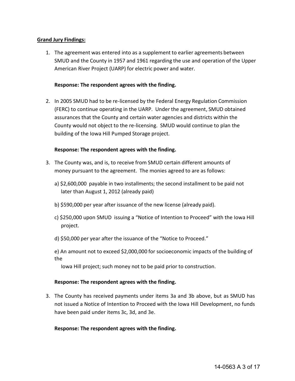## **Grand Jury Findings:**

1. The agreement was entered into as a supplement to earlier agreements between SMUD and the County in 1957 and 1961 regarding the use and operation of the Upper American River Project (UARP) for electric power and water.

## **Response: The respondent agrees with the finding.**

2. In 2005 SMUD had to be re-licensed by the Federal Energy Regulation Commission (FERC) to continue operating in the UARP. Under the agreement, SMUD obtained assurances that the County and certain water agencies and districts within the County would not object to the re-licensing. SMUD would continue to plan the building of the Iowa Hill Pumped Storage project.

## **Response: The respondent agrees with the finding.**

- 3. The County was, and is, to receive from SMUD certain different amounts of money pursuant to the agreement. The monies agreed to are as follows:
	- a) \$2,600,000 payable in two installments; the second installment to be paid not later than August 1, 2012 (already paid)
	- b) \$590,000 per year after issuance of the new license (already paid).
	- c) \$250,000 upon SMUD issuing a "Notice of Intention to Proceed" with the Iowa Hill project.
	- d) \$50,000 per year after the issuance of the "Notice to Proceed."
	- e) An amount not to exceed \$2,000,000 for socioeconomic impacts of the building of the

Iowa Hill project; such money not to be paid prior to construction.

## **Response: The respondent agrees with the finding.**

3. The County has received payments under items 3a and 3b above, but as SMUD has not issued a Notice of Intention to Proceed with the Iowa Hill Development, no funds have been paid under items 3c, 3d, and 3e.

## **Response: The respondent agrees with the finding.**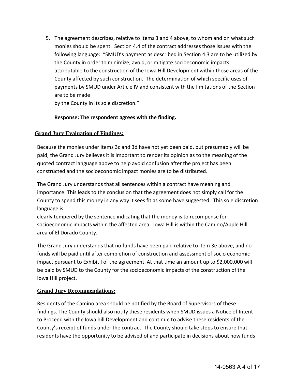5. The agreement describes, relative to items 3 and 4 above, to whom and on what such monies should be spent. Section 4.4 of the contract addresses those issues with the following language: "SMUD's payment as described in Section 4.3 are to be utilized by the County in order to minimize, avoid, or mitigate socioeconomic impacts attributable to the construction of the Iowa Hill Development within those areas of the County affected by such construction. The determination of which specific uses of payments by SMUD under Article IV and consistent with the limitations of the Section are to be made

by the County in its sole discretion."

## **Response: The respondent agrees with the finding.**

## **Grand Jury Evaluation of Findings:**

Because the monies under items 3c and 3d have not yet been paid, but presumably will be paid, the Grand Jury believes it is important to render its opinion as to the meaning of the quoted contract language above to help avoid confusion after the project has been constructed and the socioeconomic impact monies are to be distributed.

The Grand Jury understands that all sentences within a contract have meaning and importance. This leads to the conclusion that the agreement does not simply call for the County to spend this money in any way it sees fit as some have suggested. This sole discretion language is

clearly tempered by the sentence indicating that the money is to recompense for socioeconomic impacts within the affected area. Iowa Hill is within the Camino/Apple Hill area of El Dorado County.

The Grand Jury understands that no funds have been paid relative to item 3e above, and no funds will be paid until after completion of construction and assessment of socio economic impact pursuant to Exhibit I of the agreement. At that time an amount up to \$2,000,000 will be paid by SMUD to the County for the socioeconomic impacts of the construction of the Iowa Hill project.

## **Grand Jury Recommendations:**

Residents of the Camino area should be notified by the Board of Supervisors of these findings. The County should also notify these residents when SMUD issues a Notice of Intent to Proceed with the Iowa hill Development and continue to advise these residents of the County's receipt of funds under the contract. The County should take steps to ensure that residents have the opportunity to be advised of and participate in decisions about how funds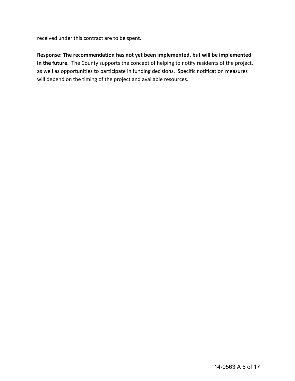received under this contract are to be spent.

## **Response: The recommendation has not yet been implemented, but will be implemented in the future.** The County supports the concept of helping to notify residents of the project, as well as opportunities to participate in funding decisions. Specific notification measures will depend on the timing of the project and available resources.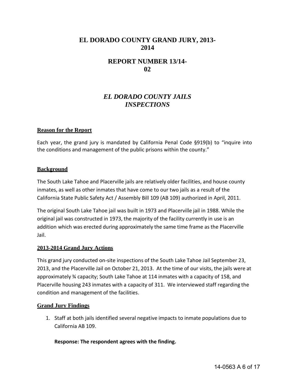## **EL DORADO COUNTY GRAND JURY, 2013- 2014**

## **REPORT NUMBER 13/14- 02**

## *EL DORADO COUNTY JAILS INSPECTIONS*

## **Reason for the Report**

Each year, the grand jury is mandated by California Penal Code §919(b) to "inquire into the conditions and management of the public prisons within the county."

#### **Background**

The South Lake Tahoe and Placerville jails are relatively older facilities, and house county inmates, as well as other inmates that have come to our two jails as a result of the California State Public Safety Act / Assembly Bill 109 (AB 109) authorized in April, 2011.

The original South Lake Tahoe jail was built in 1973 and Placerville jail in 1988. While the original jail was constructed in 1973, the majority of the facility currently in use is an addition which was erected during approximately the same time frame as the Placerville Jail.

## **2013-2014 Grand Jury Actions**

This grand jury conducted on-site inspections of the South Lake Tahoe Jail September 23, 2013, and the Placerville Jail on October 21, 2013. At the time of our visits, the jails were at approximately ¾ capacity; South Lake Tahoe at 114 inmates with a capacity of 158, and Placerville housing 243 inmates with a capacity of 311. We interviewed staff regarding the condition and management of the facilities.

## **Grand Jury Findings**

1. Staff at both jails identified several negative impacts to inmate populations due to California AB 109.

**Response: The respondent agrees with the finding.**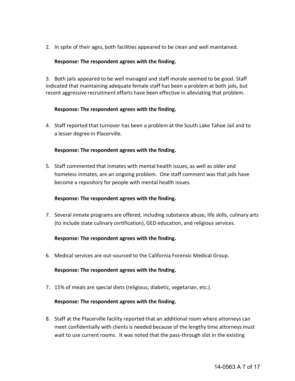2. In spite of their ages, both facilities appeared to be clean and well maintained.

## **Response: The respondent agrees with the finding.**

3. Both jails appeared to be well managed and staff morale seemed to be good. Staff indicated that maintaining adequate female staff has been a problem at both jails, but recent aggressive recruitment efforts have been effective in alleviating that problem.

## **Response: The respondent agrees with the finding.**

4. Staff reported that turnover has been a problem at the South Lake Tahoe Jail and to a lesser degree in Placerville.

## **Response: The respondent agrees with the finding.**

5. Staff commented that inmates with mental health issues, as well as older and homeless inmates, are an ongoing problem. One staff comment was that jails have become a repository for people with mental health issues.

## **Response: The respondent agrees with the finding.**

7. Several inmate programs are offered, including substance abuse, life skills, culinary arts (to include state culinary certification), GED education, and religious services.

## **Response: The respondent agrees with the finding.**

6. Medical services are out-sourced to the California Forensic Medical Group.

## **Response: The respondent agrees with the finding.**

7. 15% of meals are special diets (religious, diabetic, vegetarian, etc.).

## **Response: The respondent agrees with the finding.**

8. Staff at the Placerville facility reported that an additional room where attorneys can meet confidentially with clients is needed because of the lengthy time attorneys must wait to use current rooms. It was noted that the pass-through slot in the existing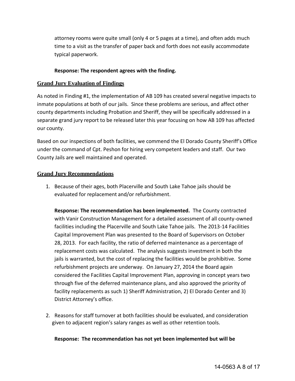attorney rooms were quite small (only 4 or 5 pages at a time), and often adds much time to a visit as the transfer of paper back and forth does not easily accommodate typical paperwork.

## **Response: The respondent agrees with the finding.**

## **Grand Jury Evaluation of Findings**

As noted in Finding #1, the implementation of AB 109 has created several negative impacts to inmate populations at both of our jails. Since these problems are serious, and affect other county departments including Probation and Sheriff, they will be specifically addressed in a separate grand jury report to be released later this year focusing on how AB 109 has affected our county.

Based on our inspections of both facilities, we commend the El Dorado County Sheriff's Office under the command of Cpt. Peshon for hiring very competent leaders and staff. Our two County Jails are well maintained and operated.

## **Grand Jury Recommendations**

1. Because of their ages, both Placerville and South Lake Tahoe jails should be evaluated for replacement and/or refurbishment.

**Response: The recommendation has been implemented.** The County contracted with Vanir Construction Management for a detailed assessment of all county-owned facilities including the Placerville and South Lake Tahoe jails. The 2013-14 Facilities Capital Improvement Plan was presented to the Board of Supervisors on October 28, 2013. For each facility, the ratio of deferred maintenance as a percentage of replacement costs was calculated. The analysis suggests investment in both the jails is warranted, but the cost of replacing the facilities would be prohibitive. Some refurbishment projects are underway. On January 27, 2014 the Board again considered the Facilities Capital Improvement Plan, approving in concept years two through five of the deferred maintenance plans, and also approved the priority of facility replacements as such 1) Sheriff Administration, 2) El Dorado Center and 3) District Attorney's office.

2. Reasons for staff turnover at both facilities should be evaluated, and consideration given to adjacent region's salary ranges as well as other retention tools.

## **Response: The recommendation has not yet been implemented but will be**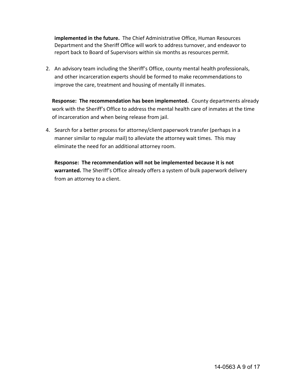**implemented in the future.** The Chief Administrative Office, Human Resources Department and the Sheriff Office will work to address turnover, and endeavor to report back to Board of Supervisors within six months as resources permit.

2. An advisory team including the Sheriff's Office, county mental health professionals, and other incarceration experts should be formed to make recommendations to improve the care, treatment and housing of mentally ill inmates.

 **Response: The recommendation has been implemented.** County departments already work with the Sheriff's Office to address the mental health care of inmates at the time of incarceration and when being release from jail.

4. Search for a better process for attorney/client paperwork transfer (perhaps in a manner similar to regular mail) to alleviate the attorney wait times. This may eliminate the need for an additional attorney room.

**Response: The recommendation will not be implemented because it is not warranted.** The Sheriff's Office already offers a system of bulk paperwork delivery from an attorney to a client.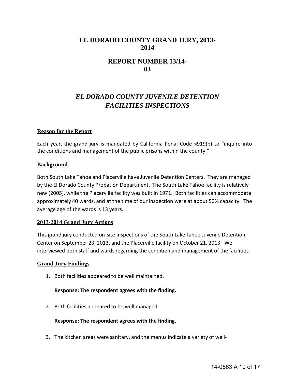## **EL DORADO COUNTY GRAND JURY, 2013- 2014**

## **REPORT NUMBER 13/14- 03**

## *EL DORADO COUNTY JUVENILE DETENTION FACILITIES INSPECTIONS*

## **Reason for the Report**

Each year, the grand jury is mandated by California Penal Code §919(b) to "inquire into the conditions and management of the public prisons within the county."

#### **Background**

Both South Lake Tahoe and Placerville have Juvenile Detention Centers. They are managed by the El Dorado County Probation Department. The South Lake Tahoe facility is relatively new (2005), while the Placerville facility was built in 1971. Both facilities can accommodate approximately 40 wards, and at the time of our inspection were at about 50% capacity. The average age of the wards is 13 years.

## **2013-2014 Grand Jury Actions**

This grand jury conducted on-site inspections of the South Lake Tahoe Juvenile Detention Center on September 23, 2013, and the Placerville facility on October 21, 2013. We interviewed both staff and wards regarding the condition and management of the facilities.

#### **Grand Jury Findings**

1. Both facilities appeared to be well maintained.

#### **Response: The respondent agrees with the finding.**

2. Both facilities appeared to be well managed.

#### **Response: The respondent agrees with the finding.**

3. The kitchen areas were sanitary, and the menus indicate a variety of well-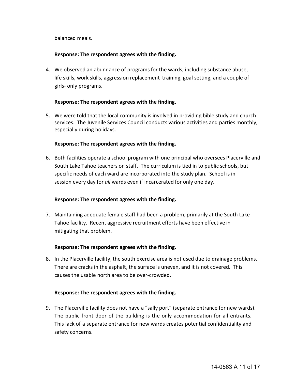balanced meals.

## **Response: The respondent agrees with the finding.**

4. We observed an abundance of programs for the wards, including substance abuse, life skills, work skills, aggression replacement training, goal setting, and a couple of girls- only programs.

## **Response: The respondent agrees with the finding.**

5. We were told that the local community is involved in providing bible study and church services. The Juvenile Services Council conducts various activities and parties monthly, especially during holidays.

## **Response: The respondent agrees with the finding.**

6. Both facilities operate a school program with one principal who oversees Placerville and South Lake Tahoe teachers on staff. The curriculum is tied in to public schools, but specific needs of each ward are incorporated into the study plan. School is in session every day for *all* wards even if incarcerated for only one day.

## **Response: The respondent agrees with the finding.**

7. Maintaining adequate female staff had been a problem, primarily at the South Lake Tahoe facility. Recent aggressive recruitment efforts have been effective in mitigating that problem.

## **Response: The respondent agrees with the finding.**

8. In the Placerville facility, the south exercise area is not used due to drainage problems. There are cracks in the asphalt, the surface is uneven, and it is not covered. This causes the usable north area to be over-crowded.

## **Response: The respondent agrees with the finding.**

9. The Placerville facility does not have a "sally port" (separate entrance for new wards). The public front door of the building is the only accommodation for all entrants. This lack of a separate entrance for new wards creates potential confidentiality and safety concerns.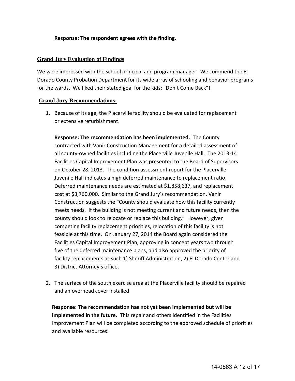## **Response: The respondent agrees with the finding.**

## **Grand Jury Evaluation of Findings**

We were impressed with the school principal and program manager. We commend the El Dorado County Probation Department for its wide array of schooling and behavior programs for the wards. We liked their stated goal for the kids: "Don't Come Back"!

## **Grand Jury Recommendations:**

1. Because of its age, the Placerville facility should be evaluated for replacement or extensive refurbishment.

**Response: The recommendation has been implemented.** The County contracted with Vanir Construction Management for a detailed assessment of all county-owned facilities including the Placerville Juvenile Hall. The 2013-14 Facilities Capital Improvement Plan was presented to the Board of Supervisors on October 28, 2013. The condition assessment report for the Placerville Juvenile Hall indicates a high deferred maintenance to replacement ratio. Deferred maintenance needs are estimated at \$1,858,637, and replacement cost at \$3,760,000. Similar to the Grand Jury's recommendation, Vanir Construction suggests the "County should evaluate how this facility currently meets needs. If the building is not meeting current and future needs, then the county should look to relocate or replace this building." However, given competing facility replacement priorities, relocation of this facility is not feasible at this time. On January 27, 2014 the Board again considered the Facilities Capital Improvement Plan, approving in concept years two through five of the deferred maintenance plans, and also approved the priority of facility replacements as such 1) Sheriff Administration, 2) El Dorado Center and 3) District Attorney's office.

2. The surface of the south exercise area at the Placerville facility should be repaired and an overhead cover installed.

 **Response: The recommendation has not yet been implemented but will be implemented in the future.** This repair and others identified in the Facilities Improvement Plan will be completed according to the approved schedule of priorities and available resources.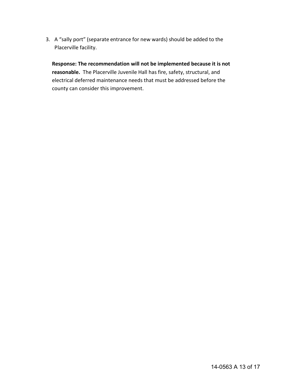3. A "sally port" (separate entrance for new wards) should be added to the Placerville facility.

**Response: The recommendation will not be implemented because it is not reasonable.** The Placerville Juvenile Hall has fire, safety, structural, and electrical deferred maintenance needs that must be addressed before the county can consider this improvement.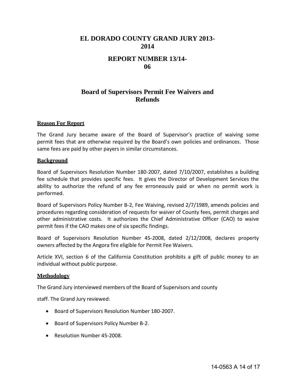## **EL DORADO COUNTY GRAND JURY 2013- 2014**

## **REPORT NUMBER 13/14- 06**

## **Board of Supervisors Permit Fee Waivers and Refunds**

## **Reason For Report**

The Grand Jury became aware of the Board of Supervisor's practice of waiving some permit fees that are otherwise required by the Board's own policies and ordinances. Those same fees are paid by other payers in similar circumstances.

#### **Background**

Board of Supervisors Resolution Number 180-2007, dated 7/10/2007, establishes a building fee schedule that provides specific fees. It gives the Director of Development Services the ability to authorize the refund of any fee erroneously paid or when no permit work is performed.

Board of Supervisors Policy Number B-2, Fee Waiving, revised 2/7/1989, amends policies and procedures regarding consideration of requests for waiver of County fees, permit charges and other administrative costs. It authorizes the Chief Administrative Officer (CAO) to waive permit fees if the CAO makes one of six specific findings.

Board of Supervisors Resolution Number 45-2008, dated 2/12/2008, declares property owners affected by the Angora fire eligible for Permit Fee Waivers.

Article XVI, section 6 of the California Constitution prohibits a gift of public money to an individual without public purpose.

#### **Methodology**

The Grand Jury interviewed members of the Board of Supervisors and county

staff. The Grand Jury reviewed:

- Board of Supervisors Resolution Number 180-2007.
- Board of Supervisors Policy Number B-2.
- Resolution Number 45-2008.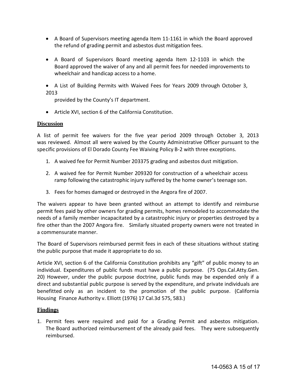- A Board of Supervisors meeting agenda Item 11-1161 in which the Board approved the refund of grading permit and asbestos dust mitigation fees.
- A Board of Supervisors Board meeting agenda Item 12-1103 in which the Board approved the waiver of any and all permit fees for needed improvements to wheelchair and handicap access to a home.
- A List of Building Permits with Waived Fees for Years 2009 through October 3, 2013

provided by the County's IT department.

Article XVI, section 6 of the California Constitution.

## **Discussion**

A list of permit fee waivers for the five year period 2009 through October 3, 2013 was reviewed. Almost all were waived by the County Administrative Officer pursuant to the specific provisions of El Dorado County Fee Waiving Policy B-2 with three exceptions.

- 1. A waived fee for Permit Number 203375 grading and asbestos dust mitigation.
- 2. A waived fee for Permit Number 209320 for construction of a wheelchair access ramp following the catastrophic injury suffered by the home owner's teenage son.
- 3. Fees for homes damaged or destroyed in the Angora fire of 2007.

The waivers appear to have been granted without an attempt to identify and reimburse permit fees paid by other owners for grading permits, homes remodeled to accommodate the needs of a family member incapacitated by a catastrophic injury or properties destroyed by a fire other than the 2007 Angora fire. Similarly situated property owners were not treated in a commensurate manner.

The Board of Supervisors reimbursed permit fees in each of these situations without stating the public purpose that made it appropriate to do so.

Article XVI, section 6 of the California Constitution prohibits any "gift" of public money to an individual. Expenditures of public funds must have a public purpose. (75 Ops.Cal.Atty.Gen. 20) However, under the public purpose doctrine, public funds may be expended only if a direct and substantial public purpose is served by the expenditure, and private individuals are benefitted only as an incident to the promotion of the public purpose. (California Housing Finance Authority v. Elliott (1976) 17 Cal.3d 575, 583.)

## **Findings**

1. Permit fees were required and paid for a Grading Permit and asbestos mitigation. The Board authorized reimbursement of the already paid fees. They were subsequently reimbursed.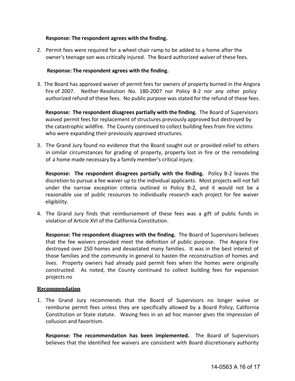## **Response: The respondent agrees with the finding.**

2. Permit fees were required for a wheel chair ramp to be added to a home after the owner's teenage son was critically injured. The Board authorized waiver of these fees.

#### **Response: The respondent agrees with the finding.**

3. The Board has approved waiver of permit fees for owners of property burned in the Angora fire of 2007. Neither Resolution No. 180-2007 nor Policy B-2 nor any other policy authorized refund of these fees. No public purpose was stated for the refund of these fees.

**Response: The respondent disagrees partially with the finding.** The Board of Supervisors waived permit fees for replacement of structures previously approved but destroyed by the catastrophic wildfire. The County continued to collect building fees from fire victims who were expanding their previously approved structures.

3. The Grand Jury found no evidence that the Board sought out or provided relief to others in similar circumstances for grading of property, property lost in fire or the remodeling of a home made necessary by a family member's critical injury.

 **Response: The respondent disagrees partially with the finding.** Policy B-2 leaves the discretion to pursue a fee waiver up to the individual applicants. Most projects will not fall under the narrow exception criteria outlined in Policy B-2, and it would not be a reasonable use of public resources to individually research each project for fee waiver eligibility.

4. The Grand Jury finds that reimbursement of these fees was a gift of public funds in violation of Article XVI of the California Constitution.

**Response: The respondent disagrees with the finding.** The Board of Supervisors believes that the fee waivers provided meet the definition of public purpose. The Angora Fire destroyed over 250 homes and devastated many families. It was in the best interest of those families and the community in general to hasten the reconstruction of homes and lives. Property owners had already paid permit fees when the homes were originally constructed. As noted, the County continued to collect building fees for expansion projects no

## **Recommendation**

1. The Grand Jury recommends that the Board of Supervisors no longer waive or reimburse permit fees unless they are specifically allowed by a Board Policy, California Constitution or State statute. Waving fees in an ad hoc manner gives the impression of collusion and favoritism.

**Response: The recommendation has been implemented.** The Board of Supervisors believes that the identified fee waivers are consistent with Board discretionary authority